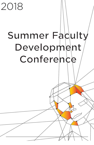2018

# Summer Faculty Development **Conference**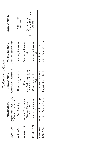|                 |                                                     | Conference at a Glance                       |                                           |                                            |
|-----------------|-----------------------------------------------------|----------------------------------------------|-------------------------------------------|--------------------------------------------|
|                 | Monday, May 7                                       | Tuesday, May 8                               | Wednesday, May 9                          | Thursday, May 10                           |
| 8:30-9:00       | Registration in CB1-104,<br>Coffee and conversation | Coffee and conversation                      | Coffee and conversation                   |                                            |
| $9:00 - 9:50$   | Track Meetings                                      | Concurrent Sessions<br>$\overline{B}$        | Concurrent Sessions<br>$\widehat{\Theta}$ | $(9:00-11:00)$<br>Track time               |
| $10:00 - 11:15$ | Keynote Presentation:                               | Plenary:                                     | Concurrent Sessions                       |                                            |
|                 | Matthew Mayhew<br>CB2-101                           | UCF Collective Impact<br>Community Challenge | $\widehat{\mathbb{E}}$                    | Reception in CB2 atrium<br>$(11:00-12:00)$ |
| 11:30-12:20     | Concurrent Sessions<br>$\widehat{A}$                | Concurrent Sessions<br>$\bigcirc$            | Concurrent Sessions<br>$(\overline{F})$   | and patio                                  |
| $12:30 - 1:20$  | Pizza Lunch by Cengage                              | Lunch on your own                            | Lunch on your own                         |                                            |
| $1:30 - 3:30$   | Project Time in Tracks                              | Project Time in Tracks                       | Project Time in Tracks                    |                                            |
|                 |                                                     |                                              |                                           |                                            |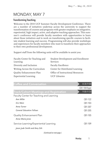# MONDAY, MAY 7

### Transforming Teaching

Welcome to the 2018 UCF Summer Faculty Development Conference. There are a number of initiatives underway across the university to support the transformation of courses and programs with greater emphasis on integrative, experiential, high impact, active, and adaptive teaching approaches. This summer's conference will provide faculty members with opportunities to learn about those initiatives and to work on transforming specific courses to facilitate student learning and success. Programming will also provide workshops and experiences for faculty members who want to transform their approaches to their own professional development.

Support staff from the following units will be available to assist you:

| Faculty Center for Teaching and<br>Learning | Student Development and Enrollment<br>Services |
|---------------------------------------------|------------------------------------------------|
| Diversity and Inclusion                     | Faculty Excellence                             |
| Writing Across the Curriculum               | Center for Distributed Learning                |
| Quality Enhancement Plan                    | Office of Instructional Resources              |
| <b>Experiential Learning</b>                | <b>UCF Libraries</b>                           |

| <b>Coffee and Conversation</b>                                         | $8:30 - 9:00$ |
|------------------------------------------------------------------------|---------------|
|                                                                        | CB1-104 foyer |
| <b>Track/Cohort Meetings and Registration</b>                          | $9:00 - 9:50$ |
| Faculty Center for Teaching and Learning                               |               |
| Ann Miller                                                             | CB1-122       |
| Fric Main                                                              | CB1-103       |
| Anna Turner                                                            | CB1-307       |
| General Education Fellows                                              | CB1-205       |
| Quality Enhancement Plan<br>Anna Maria Jones                           | CB1-105       |
| Service-Learning/Experiential Learning<br>Jason Jude Smith and Amy Zeh | CB1-109       |
|                                                                        |               |

*(Continued on next page.)*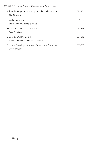| 2018 UCF Summer Faculty Development Conference                       |         |
|----------------------------------------------------------------------|---------|
| Fulbright-Hays Group Projects Abroad Program<br>Alla Kourova         | CB1-301 |
| <b>Faculty Excellence</b><br><b>Blake Scott and Linda Walters</b>    | CB1-309 |
| Writing Across the Curriculum<br>Pavel Zemliansky                    | CB1-119 |
| Diversity and Inclusion<br>Barbara Thompson and Rachel Luce-Hitt     | CB1-218 |
| Student Development and Enrollment Services<br><b>Stacey Malaret</b> | CB1-308 |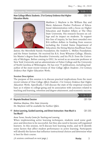### Keynote Presentation 10:00–11:15

#### How College Affects Students: 21st-Century Evidence that Higher Education Works

CB2-101



Matthew J. Mayhew is the William Ray and Marie Adamson Flesher Professor of Educational Administration with a focus on Higher Education and Student Affairs at The Ohio State University. His research focuses on college and its impact on students. To support this line of inquiry, he has been awarded over \$16 million dollars in funding from sources including the United States Department of Education; the Ewing Marion Kauffman Foun-

dation; the Merrifield Family Foundation; the Andrew C. Mellon Foundation; and the Fetzer Institute. He received his B.A. from Wheaton College, Illinois; his Master's degree from Brandeis University; and his Ph.D. from the University of Michigan. Before coming to OSU, he served as an associate professor at New York University and an administrator at Fisher College and the University of North Carolina at Wilmington. He has over 75 publications, including lead author of the most recent version of *How College Affects Students: 21st Century Evidence that Higher Education Works*.

#### **Session Description:**

The purpose of this session is to discuss practical implications from the most recent volume of *How College Affects Students: 21st Century Evidence that Higher Education Works*. Specifically, I will discuss the state of the empirical research base as it relates to college-going and its association with outcomes related to teaching and learning, retention and degree attainment, and economic success.

### **Concurrent Sessions 11:30-12:20**

#### A1 Keynote Breakout Session **CB1-104** CB1-104

*Matthew Mayhew, Ohio State University* Dr. Mayhew will be available for further Q&A.

#### A2 Active Learning, Guided Learning, and Direct Instruction: How Much is Too Much? CB1-205

#### *Anna Turner, Faculty Center for Teaching and Learning*

When implementing active learning techniques, students need some guidance and direction to be successful, but they also need to become self-regulated learners. In this session, we'll discuss how learning works, and we'll identify some factors that affect student performance in active learning. Participants will identify the factors that influence instructional choices and determine what is best for their course.

*(A sessions continued on next page.)*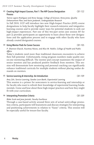#### <span id="page-5-0"></span>A3 Creating High-Impact Courses, Part 1: The HIP Course Designation Process

#### *Tamra Legron-Rodriguez and Anna Savage, College of Sciences; Anna Jones, Quality Enhancement Plan; and Kevin Jardaneh, Undergraduate Research*

In Fall 2018, UCF will introduce two new High-Impact Practice (HIP) course designations to help faculty highlight their research-intensive and integrativelearning courses and to provide easier ways for potential students to seek out high-impact experiences. Part one of this two-part series (see session [B](#page-8-0)5 for part 2) provides participants an opportunity to learn about these new designations and the application process and to engage with other faculty who have already created designated courses.

#### A4 Using Mentor Pods for Career Success CB1-105

*P. Shannon Elswick, Kourtney Nieves, and Alice M. Noblin, College of Health and Public Affairs*

Today's students need more than traditional classroom encounters to achieve their full potential. Unfortunately, rising program numbers make quality oneon-one mentoring difficult. The mentor pod concept maximizes the impact of senior mentors and has produced positive feedback from mentees. This session will demonstrate how mentoring and personal coaching can significantly enhance traditional curricula for multiple students without placing undue demands on mentors.

#### A5 Service-Learning & Internship: An Introduction CB1-109

#### *Amy Zeh, Service-Learning; Sandra Leon-Barth, Experiential Learning*

This session is a primer for newcomers to service-learning and internship or for faculty who want to refresh their knowledge of experiential learning fundamentals. Come and hear about these high-impact practices and how they might fit with your curriculum.

#### A6 Interpreting Promotion Criteria CB1-309

#### *Blake Scott and Jana Jasinski, Faculty Excellence*

Through a case-based activity around three sets of actual unit/college promotion criteria, participants will brainstorm and discuss strategies for interpreting and positioning achievements in relation to "fuzzy" criteria. This session will be especially useful for tenure-line faculty.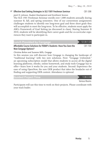#### A7 Effective Goal Setting Strategies in SLS 1501 Freshman Seminar CB1-308

#### *Jamil D. Johnson, Student Development and Enrollment Services*

The SLS 1501 Freshman Seminar enrolls over 1,800 students annually during summer B, fall, and spring semesters. One of our cornerstone assignments challenges students to identify one long-term goal and three short goals they will accomplish to meet the long-term. To be effective, students must apply the ABCs Framework of Goal Setting (as discussed in class). Staring Summer B 2018, students will be identifying their career goals and the co-curricular experiences they want to participate in.

### Lunch Provided by Cengage 12:30–1:20

#### Affordable Course Solutions for TODAY's Students: Have You Seen the New Cengage Options?

#### *Christina Bolton and Suzanne Mills, Cengage*

In this session you will discover how Cengage is changing the landscape of "traditional learning" with two new solutions. First: "Cengage Unlimited," an upcoming subscription model that allows students to access all the digital learning platforms, ebooks, online homework, and study tools Cengage has to offer—learn how it works for you and your students. Second: Experience the ease of using OpenNow, the new OER product that takes the headache out of finding and supporting OER content. Attendance is optional.

### Guided Project Time 1:30–3:30

Various Rooms

<span id="page-6-0"></span>Participants will use this time to work on their projects. Please coordinate with your track leader.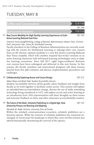# TUESDAY, MAY 8

Active Learning Reduced Seat Time

| <b>Coffee and Conversation</b>                                         | $8:30 - 9:00$ |
|------------------------------------------------------------------------|---------------|
|                                                                        | CB1-104       |
| <b>Concurrent Sessions</b>                                             | $9:00 - 9:50$ |
| B1 New Course Modality for High Quality Learning Experiences at Scale: | CB1-103       |

*Cameron Ford and Jeff Reinking, College of Business Administration; Baiyun Chen, Corrinne Stull, and Jessica Tojo, Center for Distributed Learning*

Faculty members in the College of Business Administration are currently working with the Center for Distributed Learning to redesign their core courses from an RV (lecture capture) modality to a new RA (Active Learning Reduced Seat Time) modality, which will combine required face-to-face sessions in an active learning classroom with web-based learning technologies such as adaptive learning courseware. Since Fall 2017, eight large-enrollment Business core courses have been redesigned and delivered in this new format. In this session, RA faculty members and instructional designers will share lessons learned from this pilot initiative and discuss implementation procedures and challenges.

#### B<sub>2</sub> Collaboratively Exploring Access and Course Design Contract CB1-212

*Adam Meyer and Brad Held, Student Accessibility Services*

Student Accessibility Services (SAS) greatly values feedback and insight from faculty as we work together to facilitate course access. This session will explain an extended-time-accommodation change, discuss the use of audio notetaking technology being introduced at UCF, and explore access and active learning at an introductory level. SAS representatives will share thoughts on these issues and welcome feedback on these and other classroom access/disability matters.

#### B3 The Future of the Book: Scholarly Publishing in a Digital Age-How University Presses are Reacting and Adapting CB1-122

#### *Meredith M. Babb, Director, University Press of Florida*

Within the scholarly communications ecosystem, scholarly publishers are a keystone species. While the mission of scholarly publishers has remained unchanged, in recent years the landscape in which they carry out this mission has altered dramatically, threatening the survival of the species.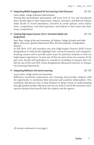#### B4 Integrating Mobile Engagement for Fun Learning in the Classroom CB1-307

#### *Carlos Valdez, College of Business Administration*

During this presentation participants will learn how to use and incorporate three mobile apps in their classrooms: Arkaive, Socrative, and Kahoot! Arkaive helps faculty to record attendance; Socrative to create quizzes, team evaluations, competitions, and short questions; and Kahoot to have team and classroom competitions.

#### <span id="page-8-0"></span>B5 Creating High-Impact Courses, Part 2: Innovative Syllabi and **Assignments**

*Peter Telep, College of Arts and Humanities; Jill Viglione, College of Health and Public Affairs; Anna Jones, Quality Enhancement Plan; and Kevin Jardaneh, Undergraduate Research*

In Fall 2018, UCF will introduce two new High-Impact Practice (HIP) course designations to help faculty highlight their research-intensive and integrativelearning courses and to provide easier ways for potential students to seek out high-impact experiences. In part one of this two-part series (see session [A](#page-5-0)3 for part one), faculty will participate in a hands-on workshop to prepare their syllabi for one of the new HIP course designations (Research-Intensive or Integrative-Learning Experience).

#### B6 Integrating Reflection into Service-Learning CB1-109

#### *Laurie Uttich, College of Arts and Humanities*

Reflection transforms experiences into learning and provides students with the opportunity to synthesize their personal and academic philosophies. This workshop will discuss how to lead students to deeper levels of understanding through guided weekly reflection exercises as well as end-of-the-semester introspective projects that benefit both the student and the agency.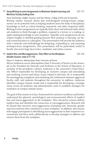#### B7 Using Writing-to-Learn Assignments to Maximize Student Learning and Minimize Faculty Grading Time CB1-119

*Pavel Zemliansky, Steffen Guenzel, and Dan Martin, College of Arts and Humanities* Writing studies research shows that well-designed writing-to-learn assignments can be powerful tools in helping students learn the body of disciplinary knowledge as well as critical thinking, teamwork, and other important skills. Writing-to-learn assignments are typically fairly short and informal tasks which ask students to think through a problem, respond to a lecture or a reading, or apply existing knowledge to new situations. Typically, such assignments do not require lengthy or detailed grading because their purpose is learning, not formal communication in a discipline. This presentation will provide the audience with a rationale and methodology for designing, responding to, and assessing writing-to-learn assignments. This presentation will be particularly useful to faculty who teach large face-to-face, mediated, and online courses.

#### B8 Implicit Bias and Microaggressions: Their Effect on the Workplace (Double Session—ends at 11:15) CB1-318

#### *Myron R. Anderson, Metropolitan State University of Denver*

Myron Anderson serves Metropolitan State University of Denver as the Associate to the President for Diversity and Professor in the School of Education. A member of the president's cabinet, Anderson is the university's Chief Diversity Officer responsible for developing an inclusive campus and articulating and resolving current and future issues related to diversity. He is responsible for investigating complaints and mediating fair settlements between aggrieved faculty, staff, and students throughout the university. In addition, Anderson identifies campus climate trends and is responsible for developing a strategic vision across all academic and administrative units to establish strategies for resolution of campus climate issues.

The goal of this session is to lay a framework for inclusive excellence and further understand the physical, psychological and environmental effects of implicit bias and micro-aggressions in the workplace. This interactive session defines implicit bias and identifies the connection to microaggressions. Research will be shared that uncovers micro-aggressions (including role, hierarchy, gender and race) and how they contribute to a toxic workplace. In addition, this session will engage participants in identifying micro-aggressions in their respective environments and then work collaboratively to develop strategies to address and remove them from the workplace.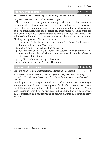### Plenary Presentation 10:00-11:15

#### Final Selection: UCF Collective Impact Community Challenge Forum CB1-121

#### *Lisa Jones and Howard "Rocky" Blesso, Academic Affairs*

UCF is committed to developing and leading a major initiative that draws upon the unique strengths and assets of the institution and our partners to achieve measurable improvement in a significant local problem that also has national or global implications and can be scaled for greater impact. During this session, you will hear five short presentations from the finalists, and you will vote to help select the project that receives the UCF Collective Impact Community Challenge designation. The presenters are:

- 1. John Bersia, Global Perspectives, and Francis Bok, Center for the Study of Human Trafficking and Modern Slavery,
- 2.Janet McIlvaine, Florida Solar Energy Center,
- 3. Hon. Bob McDonald, 8<sup>th</sup> U.S. Secretary of Veteran Affairs and former CEO of Proctor & Gamble, and Thomasa Sanchez, CEO & Founder of McCormick Research Institute,
- 4.Judy Simms-Cendan, College of Medicine,
- 5. Keri Watson, College of Arts and Humanities.

### Concurrent Sessions 11:30-12:20

#### C1 Exploring Active Learning Strategies Through Programmable Content CB1-205

*Zachary Berry, Francisca Yonekura, and Ian Turgeon, Center for Distributed Learning; Zhongzhou Chen, College of Sciences; and Anna Turner, Faculty Center for Teaching and Learning*

Join the presenters as they share their ideas and lessons learned on strategies to engage students in active learning using Obojobo's programmable content capabilities. A demonstration of the tool in the context of modular STEM and other academic content will be provided. Participants will be invited to engage in a conversation and brainstorming of desired features in facilitating active learning.

*C sessions continued on next page.*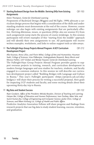#### C2 Starting Backward Design from the Middle: Deriving DIQs from Existing **Assignments** CB1-103

#### *Kelvin Thompson, Center for Distributed Learning*

Proponents of Backward Design (Wiggins and McTighe, 1999) advocate a curriculum design process that begins with a consideration of the skills and understanding students must demonstrate at the end of the course. However, course redesign can also begin with existing assignments that are particularly effective. Deriving dilemmas, issues, or questions (DIQs: also see session [E](#page-16-0)1) from such assignments jump starts the process of course (re)design. In this session participants will review examples of this "starting from the middle" approach and will identify their own assignments to use. All participants will receive written examples, worksheets, and links to online support tools as take-aways.

#### C3 The Fulbright-Hays Group Projects Abroad Program: A UCF Curriculum Development Project CB1-212

*Alla Kourova, Anna Lillios, and Florin Mihai, College of Arts and Humanities; Houman Sadri, College of Sciences; Irina Pidberejna, Undergraduate Research; Barry Morris and Monica Fishkin, UCF Global; and Wendy Howard, Center for Distributed Learning* The Fulbright-Hays Group Projects Abroad Program provides grants to support overseas projects in training, research, and curriculum development in modern foreign languages and area studies for teachers, students, and faculty engaged in a common endeavor. In this session we will describe our curriculum development project called "Building Bridges with Language and Culture in Russia." This year's Fulbright participants [<https://projects.cah.ucf.edu/](https://projects.cah.ucf.edu/bridges/) [bridges/](https://projects.cah.ucf.edu/bridges/)> will share their process for writing a successful proposal, their goals for impacting UCF students and faculty, and some exciting details about their upcoming thirty-day trip to Russia.

#### C4 Big Data and Student Success CB1-122

*Ryan Goodwin, Office of the President; Melody Bowdon, Division of Teaching and Learning; Haiyan Bai, College of Education and Human Performance; Ivan Garibay, Adan Vela, and Sumit Kumar Jha, College of Engineering and Computer Science; Jackie Chini, College of Sciences; and Albert Xinliang Liu, College of Health and Public Affairs*

Predictive Analytics Innovation Fellows will share progress and findings from research projects that use big data to study student learning, success, retention, and graduation.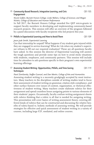#### C5 Community-Based Research, Integrative Learning, and Civic Engagement

#### *Nicole Gelfert, Burnett Honors College; Linda Walters, College of Sciences; and Megan Nickels, College of Education and Human Performance*

In Fall 2017, the Burnett Honors College awarded five QEP micro-grants to support faculty members in developing and implementing community-based research projects. This session will offer an overview of the program followed by a panel discussion with faculty recipients who led projects this year.

#### $C_6$  Pitfalls in Experiential Learning and How to Avoid Them CB1-109

#### *Jason Jude Smith, Experiential Learning*

Can that internship be unpaid? What happens if my student gets injured while they are engaged in service-learning? What do I do when my student's supervisor refuses to fill out our required evaluation? These are all questions faculty have asked. In this session the director of Experiential Learning will answer the tough questions and provide some tips on how to avoid sticky situations with students, employers, and community partners. This session will include time for attendees to ask questions specific to their program's own experiential learning offerings.

#### C7 Assessing Student Writing: Opportunities, Pitfalls, and Time-Saving Techniques CB1-119

#### *Pavel Zemliansky, Steffen Guenzel, and Dan Martin, College of Arts and Humanities*

Assessing student writing is a necessity grudgingly accepted by most instructors. Many teachers in the disciplines outside of writing studies tend to focus their assessment of student writing on grammar, citation style compliance, and other surface features over issues of content, organization, or rhetorical effectiveness of student writing. Many teachers create elaborate rubrics for their assignment and spend countless hours assigning points to various elements of their students' papers. Occasionally, faculty confuse writing assignment sheets with rubrics thinking that a rubric is all that is needed for assigning writing. This presentation will cover basics of writing assessment theory, covering different kinds of rubrics that can be constructed and discussing the relative benefits of rubric-based vs. holistic methods of assessing writing. We will provide strategies for effective and quick assessment of student writing in a variety of courses, including large F2F, mediated, and online courses.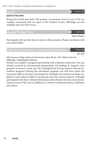#### Lunch on Your Own

Bring your lunch and work with groups, or purchase lunch at any of the oncampus restaurants that are open in the Student Union. Offerings are also available near the CFE Arena.

| <b>Guided Project Time</b> | $1:30-3:30$ |
|----------------------------|-------------|
|----------------------------|-------------|

Various Rooms

[Participants will use this time to work on their projects. Please coordinate with](#page-6-0) [your track leader.](#page-6-0)

Fulbright-Hays Russian Partnership Orientation 3:30-6:00

CB1-205

*Alla Kourova, College of Arts and Humanities; Barry Morris, UCF Global; and Irina Pidberejna, Undergraduate Research*

<span id="page-13-0"></span>Would you consider a program partnership with a Russian university? Are you already involved in international partnerships and looking to improve your program structure? Come join the Fulbright-Hays Group Projects Abroad orientation program! During the orientation program you will learn about the necessary skills to develop a pre-departure Fulbright orientation and about important cross-cultural skills to incorporate into your future projects. Fulbright participants will share cultural information about Russia that they learned during the course of the year in addition to a lecture on Russian history, traditions, and values.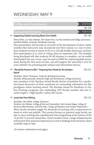# WEDNESDAY, MAY 9

| <b>Coffee and Conversation</b>                    | $8:30 - 9:00$ |
|---------------------------------------------------|---------------|
|                                                   | CB1-104       |
| <b>Concurrent Sessions</b>                        | $9:00 - 9:50$ |
| D1 Supporting Student Learning About Civic Health | CR1-103       |

*Shena Parks, Lou Frey Institute; Terri Susan Fine, Lou Frey Institute and College of Sciences; and Beth Nettles, Center for Distributed Learning*

This presentation will provide an overview of the development of short, online modules that instructors may incorporate into their courses as a way to introduce students to what it means to live in a civically healthy democracy and how their participation in it, such as voting, plays an important role. The modules being developed will take students 30–60 minutes to complete, can be readily downloaded into any course, may be used to fulfill the required graded assessment during the first week of class, and will support the university's civic literacy initiative by promoting data analysis and information literacy.

#### D2 "Should Be Present to Win": Preparing Your Packet for the Dziuban Award CB1-212

*Facilitator: Kelvin Thompson, Center for Distributed Learning Panelists: Alisha Janowsky, Amanda Groff, and Rick Brunson, College of Sciences* Join members of the Dziuban Award Faculty Review Committee for a moderated panel discussion of what constitutes an outstanding submission for this prestigious online teaching award. The Dziuban Award for Excellence in Online Teaching recognizes one outstanding UCF faculty member who has recently taught a "High Quality" online (W) course.

#### D3 Jump Start Your Writing CB1-122

*Facilitator: Ann Miller, College of Sciences*

*Panelists: Keri Watson, College of Arts and Humanities; Yael Zemack-Rugar, College of Business Administration; and Elsie Olan, College of Education and Human Performance* Many faculty members juggle the demands of teaching with a requirement or desire to write and publish. This session focuses on practical steps faculty can take to move existing data expeditiously from languishing at the bottom of the "to do list" to journal submission. Panel members from a range of departments will present their personal experiences as well as findings from literature about workable steps to take.

*(D sessions continued on next page.)*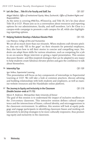#### D4 Let's Be Clear... Title IX is for Faculty and Staff, Too CR1-307

*Abigail Malick, Office of Institutional Equity; Mary Zuchovicki, Office of Student Rights and Responsibilities*

As the news is covering #MeToo, #TimesUp, and Title IX, let's be clear about Title IX at UCF. Please join us in a conversation about resources and reporting options for our administrators, faculty, and staff members. Let's Be Clear is a campus-wide campaign to promote a safe campus for all, while also highlighting reporting options.

### D5 Helping Students Develop a Fabulous Elevator Pitch CB1-105

#### *Lisa Peterson, College of Arts and Humanities*

We are all so much more than our résumés. When students craft elevator pitches, they not only "fill in the gaps" on their résumés for potential employers, they also learn how to tell their stories in concise and compelling ways. Students can adapt these skills for various situations, such as competing for a job in an on-camera Skype interview or giving a taped presentation. This session discusses theater- and film-inspired strategies that can be adapted to any major to help students create fabulous elevator pitches and gain the confidence to talk about themselves.

### D6 Internship Tips CB1-109

### *Igor Volkov, Experiential Learning*

This presentation will focus on key components of internships in Experiential Learning at UCF. We will take a look at common practices, discuss advising and building relationships with both students and employers, as well as examine website resources and the Handshake online platform.

#### D7 The Journey to Equity and Inclusivity in the Classroom (Double Session—ends at 11:15) CB1-318

#### *Myron R. Anderson, Metropolitan State University of Denver*

The goal of this session is to understand the impact of inclusive excellence in the 21st-century classroom. This interactive session defines cultural competence and the intersections of biases, cultural identity, and microaggressions in the classroom environment. In addition, this session will look at equity pedagogy and engage participants in identifying classroom biases and working collaboratively to develop strategies to be more culturally responsive, thus promoting equity and inclusivity in the classroom.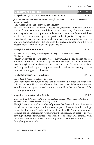# <span id="page-16-0"></span>Concurrent Sessions 10:00-11:15

#### E1 Using Dilemmas, Issues, and Questions to Frame Learning CB1-103

*Julia Metzker, Executive Director, Brown Center for Faculty Innovation and Excellence— Stetson University*

Flint Water Crisis | Fake News | Data Security

These are examples of Dilemmas, Issues, or Questions (DIQs) that could be used to frame a course or a module within a course. DIQs don't replace content, they enhance it and provide students with a reason to learn disciplinespecific facts, models, concepts, and practices. Participants will explore using cross-disciplinary, complex questions to frame curriculum modules or courses and how marketable knowledge and skills that students develop from this work prepare them for life and work in a global society.

### E2 New Syllabus Policy Focus Group CB1-122

*Eric Main, Faculty Center for Teaching and Learning; Kelvin Thompson, Center for Distributed Learning*

Faculty are invited to learn about UCF's new syllabus policy and its updated guidelines. Because CDL and FCTL provide direct support for faculty members regarding syllabi and Webcourses tools, we are asking for your advice about workshops and training that might be needed as well as the best way to communicate our support to all faculty.

#### E3 Faculty Multimedia Center Focus Group CB1-202

### *Lauren Beal, Office of Instructional Resources*

Come talk about the future of the Faculty Multimedia Center and what technologies you would like to see offered in that space. We will share our ideas and would love to hear yours as well about what would be the most beneficial for you and your courses.

#### $E4$  Integrative Learning Across the Disciplines CB1-105

*Stephanie Krick, College of Health and Public Affairs; Elizabeth Horn, College of Arts and Humanities; and Megan Sherod, College of Sciences*

The QEP has sponsored a number of projects that have enhanced integrative experiences across campus. In this session, a panel of faculty from Psychology, Public Relations, and Theatre will present on their QEP-funded integrativelearning projects including a) restructuring the curriculum in order to provide new high-impact opportunities for majors, b) connecting UCF students with members of the neuro-atypical community, and c) creating community at UCF through digital storytelling.

*(E sessions continued on next page.)*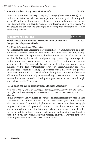#### E5 Internships and Civic Engagement with Nonprofits CB1-109

*Chinyen Chuo, Experiential Learning; Danny Seigler, College of Health and Public Affairs* In this presentation, we will share our experience in working with the nonprofit sector. We will present internship analytics on student and employer participation. You will hear from faculty, students, employers, and civic volunteers. We will discuss the benefits and challenges of working with nonprofits and other community partners.

| <b>Concurrent Sessions</b> |  |  |
|----------------------------|--|--|
|                            |  |  |

#### F1 A Faculty Webcourse as Administrative Hub: Adapting Online Course Design to Serve Department Needs CB1-103

#### *Amy Darty, College of Arts and Humanities*

As departments face increasing responsibilities for administrative and academic needs across a spectrum of students, course modalities, teaching faculty, service, and research requirements, the development of a Faculty Webcourse as a hub for hosting information and promoting access to department-specific content and resources can streamline the process. The continuous access portal which enables 24/7 connectivity to department content and resource sharing has served the History Department for over five years. Originally conceived as a resource for faculty teaching GEP courses only, it has evolved to provide more enrichment and includes all of our faculty from tenured professors to adjuncts, with the addition of graduate teaching assistants in the last two years. Join me for a discussion of the development process and a visual tour through our History Faculty Webcourse.

#### F2 Free Up Your Class! Course Redesign through Textbook Affordability CB1-307

*Anna Turner, Faculty Center for Teaching and Learning; Aimee deNoyelles and John Raible, Center for Distributed Learning; and Penny Beile, Rich Gause, and Sarah Norris, UCF Libraries*

In this workshop, you will learn about three textbook affordability models that have saved UCF students money. You will also review your course content with the purpose of identifying high-quality resources that achieve pedagogical goals and that could potentially lower the cost of your course materials. You are strongly encouraged to bring your syllabus and current textbook to the workshop, but it is not necessary for participation. By the end of this interactive session, you will have worked on your redesign and will leave with next steps for using more affordable resources in your course.

 $11:30-12:20$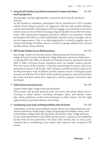#### F3 Using the UCF Quality Course Review Instrument to Improve the Online Learning Experience CB1-202

#### *Amanda Major, Anchalee Ngampornchai, and Corrinne Stull, Center for Distributed Learning*

In this hands-on workshop, participants will be introduced to UCF's Quality Online Course Review process, its alignment with the state quality initiative, and its many benefits. Participants will then engage in an informal review of an online course section of their choosing using the Quality Course Review instrument, with instructional designers present to address any questions. Finally, participants will reflect on their individually reported course strengths and areas for improvement. This is an ideal opportunity to identify tangible ways to enhance the design of online courses, as well as to gauge readiness for a formal Quality Online Course Review.

#### F4 QEP Transfer Student Success Workshop Series CB1-105

*Jason Dodge, Transfer and Transition Services; Alisha Janowsky and Christa Diercksen, College of Sciences; Caroline Pratt-Marrett, College of Education and Human Performance* In Spring 2018, the Office of Transfer & Transition Services partnered with the QEP to offer a five-part faculty workshop series on transfer student success. Over the course of the semester, 14 faculty, representing 10 majors, had an opportunity to interact with faculty, staff, students, and DirectConnect partners to develop innovative ways to address transfer student success. During this panel session you will hear from three of the academic programs represented within the series and learn about their experience and the program innovation they developed.

#### F5 Online Service-Learning Courses CB1-109

#### *Leandra Preston-Sidler, College of Arts and Humanities*

This session will provide practical tools and invite discussion about servicelearning in online classes, including strategies, ideas, and specific examples. Many professors avoid service-learning in online classes, but the right approach(es) can greatly enhance web classes.

#### F6 Coordinating Career Goals and Responsibilities with Life Events CB1-309

*Linda Walters, Center for Success of Women Faculty; Michele Gill, College of Education and Human Performance; Damla Turgut, College of Engineering and Computer Science; Ilenia Colón Mendoza, College of Arts and Humanities; and Shannon Carter, College of Sciences* In this panel presentation and follow-up discussion, a group of accomplished faculty with diverse experiences will share their stories and, in some cases, research about coordinating career plans with expected and unexpected life events.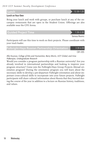#### Lunch on Your Own

[your track leader.](#page-6-0)

Bring your lunch and work with groups, or purchase lunch at any of the oncampus restaurants that are open in the Student Union. Offerings are also available near the CFE Arena.

| <b>Guided Project Time</b> | $1:30-3:30$ |
|----------------------------|-------------|
|----------------------------|-------------|

*Pidberejna, Undergraduate Research*

### 18 Wednesday

[Would you consider a program partnership with a Russian university? Are you](#page-13-0) [already involved in international partnerships and looking to improve your](#page-13-0) [program structure? Come join the Fulbright-Hays Group Projects Abroad ori](#page-13-0)[entation program! During the orientation program you will learn about the](#page-13-0) [necessary skills to develop a pre-departure Fulbright orientation and about im](#page-13-0)[portant cross-cultural skills to incorporate into your future projects. Fulbright](#page-13-0) [participants will share cultural information about Russia that they learned dur](#page-13-0)[ing the course of the year in addition to a lecture on Russian history, traditions,](#page-13-0) [and values.](#page-13-0)

*Alla Kourova, College of Arts and Humanities; Barry Morris, UCF Global; and Irina* 

Various Rooms

[Participants will use this time to work on their projects. Please coordinate with](#page-6-0)

Fulbright-Hays Russian Partnership Orientation 3:30–6:00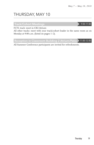# THURSDAY, MAY 10

### Track/Cohort Meetings 9:00-11:00

FCTL track: meet in CB2-Atrium

All other tracks: meet with your track/cohort leader in the same room as on Monday at 9:00 a.m. (listed on pages 1–2).

Reception in Classroom Building 2 Atrium/Patio 11:00-12:00

All Summer Conference participants are invited for refreshments.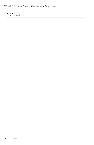# **NOTES**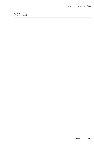# NOTES